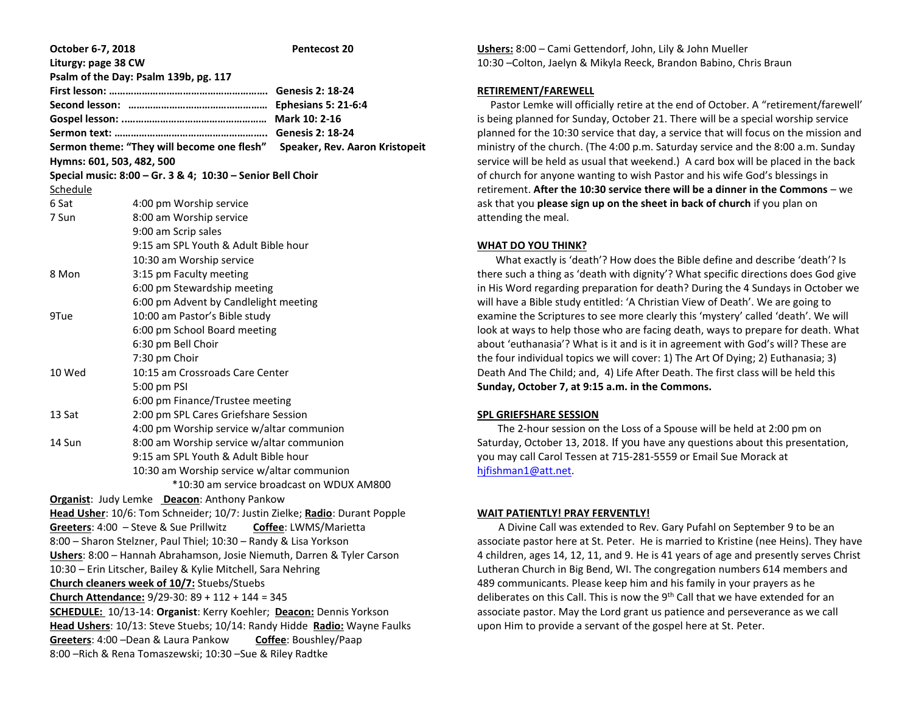| October 6-7, 2018                                                          |                                                             | <b>Pentecost 20</b>        |  |  |  |
|----------------------------------------------------------------------------|-------------------------------------------------------------|----------------------------|--|--|--|
| Liturgy: page 38 CW                                                        |                                                             |                            |  |  |  |
|                                                                            | Psalm of the Day: Psalm 139b, pg. 117                       |                            |  |  |  |
|                                                                            |                                                             |                            |  |  |  |
|                                                                            |                                                             | <b>Ephesians 5: 21-6:4</b> |  |  |  |
|                                                                            |                                                             | Mark 10: 2-16              |  |  |  |
|                                                                            |                                                             |                            |  |  |  |
| Sermon theme: "They will become one flesh" Speaker, Rev. Aaron Kristopeit  |                                                             |                            |  |  |  |
| Hymns: 601, 503, 482, 500                                                  |                                                             |                            |  |  |  |
|                                                                            | Special music: 8:00 - Gr. 3 & 4; 10:30 - Senior Bell Choir  |                            |  |  |  |
| Schedule<br>6 Sat                                                          | 4:00 pm Worship service                                     |                            |  |  |  |
| 7 Sun                                                                      |                                                             |                            |  |  |  |
|                                                                            | 8:00 am Worship service                                     |                            |  |  |  |
|                                                                            | 9:00 am Scrip sales<br>9:15 am SPL Youth & Adult Bible hour |                            |  |  |  |
|                                                                            |                                                             |                            |  |  |  |
| 8 Mon                                                                      | 10:30 am Worship service<br>3:15 pm Faculty meeting         |                            |  |  |  |
|                                                                            | 6:00 pm Stewardship meeting                                 |                            |  |  |  |
|                                                                            | 6:00 pm Advent by Candlelight meeting                       |                            |  |  |  |
| 9Tue                                                                       | 10:00 am Pastor's Bible study                               |                            |  |  |  |
|                                                                            | 6:00 pm School Board meeting                                |                            |  |  |  |
|                                                                            | 6:30 pm Bell Choir                                          |                            |  |  |  |
|                                                                            | 7:30 pm Choir                                               |                            |  |  |  |
| 10 Wed                                                                     | 10:15 am Crossroads Care Center                             |                            |  |  |  |
|                                                                            | 5:00 pm PSI                                                 |                            |  |  |  |
|                                                                            | 6:00 pm Finance/Trustee meeting                             |                            |  |  |  |
| 13 Sat                                                                     | 2:00 pm SPL Cares Griefshare Session                        |                            |  |  |  |
|                                                                            | 4:00 pm Worship service w/altar communion                   |                            |  |  |  |
| 14 Sun                                                                     | 8:00 am Worship service w/altar communion                   |                            |  |  |  |
|                                                                            | 9:15 am SPL Youth & Adult Bible hour                        |                            |  |  |  |
|                                                                            | 10:30 am Worship service w/altar communion                  |                            |  |  |  |
| *10:30 am service broadcast on WDUX AM800                                  |                                                             |                            |  |  |  |
| Organist: Judy Lemke Deacon: Anthony Pankow                                |                                                             |                            |  |  |  |
| Head Usher: 10/6: Tom Schneider; 10/7: Justin Zielke; Radio: Durant Popple |                                                             |                            |  |  |  |
| Greeters: 4:00 - Steve & Sue Prillwitz<br>Coffee: LWMS/Marietta            |                                                             |                            |  |  |  |
| 8:00 - Sharon Stelzner, Paul Thiel; 10:30 - Randy & Lisa Yorkson           |                                                             |                            |  |  |  |
| Ushers: 8:00 - Hannah Abrahamson, Josie Niemuth, Darren & Tyler Carson     |                                                             |                            |  |  |  |
| 10:30 - Erin Litscher, Bailey & Kylie Mitchell, Sara Nehring               |                                                             |                            |  |  |  |
| Church cleaners week of 10/7: Stuebs/Stuebs                                |                                                             |                            |  |  |  |
| Church Attendance: 9/29-30: 89 + 112 + 144 = 345                           |                                                             |                            |  |  |  |
| <b>SCHEDULE:</b> 10/13-14: Organist: Kerry Koehler; Deacon: Dennis Yorkson |                                                             |                            |  |  |  |
| Head Ushers: 10/13: Steve Stuebs; 10/14: Randy Hidde Radio: Wayne Faulks   |                                                             |                            |  |  |  |
|                                                                            | Greeters: 4:00 - Dean & Laura Pankow Coffee: Boushley/Paap  |                            |  |  |  |
| 8:00 - Rich & Rena Tomaszewski; 10:30 - Sue & Riley Radtke                 |                                                             |                            |  |  |  |

**Ushers:** 8:00 – Cami Gettendorf, John, Lily & John Mueller 10:30 –Colton, Jaelyn & Mikyla Reeck, Brandon Babino, Chris Braun

# **RETIREMENT/FAREWELL**

 Pastor Lemke will officially retire at the end of October. A "retirement/farewell' is being planned for Sunday, October 21. There will be a special worship service planned for the 10:30 service that day, a service that will focus on the mission and ministry of the church. (The 4:00 p.m. Saturday service and the 8:00 a.m. Sunday service will be held as usual that weekend.) A card box will be placed in the back of church for anyone wanting to wish Pastor and his wife God's blessings in retirement. **After the 10:30 service there will be a dinner in the Commons** – we ask that you **please sign up on the sheet in back of church** if you plan on attending the meal.

### **WHAT DO YOU THINK?**

 What exactly is 'death'? How does the Bible define and describe 'death'? Is there such a thing as 'death with dignity'? What specific directions does God give in His Word regarding preparation for death? During the 4 Sundays in October we will have a Bible study entitled: 'A Christian View of Death'. We are going to examine the Scriptures to see more clearly this 'mystery' called 'death'. We will look at ways to help those who are facing death, ways to prepare for death. What about 'euthanasia'? What is it and is it in agreement with God's will? These are the four individual topics we will cover: 1) The Art Of Dying; 2) Euthanasia; 3) Death And The Child; and, 4) Life After Death. The first class will be held this **Sunday, October 7, at 9:15 a.m. in the Commons.**

### **SPL GRIEFSHARE SESSION**

 The 2-hour session on the Loss of a Spouse will be held at 2:00 pm on Saturday, October 13, 2018. If you have any questions about this presentation, you may call Carol Tessen at 715-281-5559 or Email Sue Morack at [hjfishman1@att.net.](mailto:hjfishman1@att.net)

## **WAIT PATIENTLY! PRAY FERVENTLY!**

 A Divine Call was extended to Rev. Gary Pufahl on September 9 to be an associate pastor here at St. Peter. He is married to Kristine (nee Heins). They have 4 children, ages 14, 12, 11, and 9. He is 41 years of age and presently serves Christ Lutheran Church in Big Bend, WI. The congregation numbers 614 members and 489 communicants. Please keep him and his family in your prayers as he deliberates on this Call. This is now the 9<sup>th</sup> Call that we have extended for an associate pastor. May the Lord grant us patience and perseverance as we call upon Him to provide a servant of the gospel here at St. Peter.